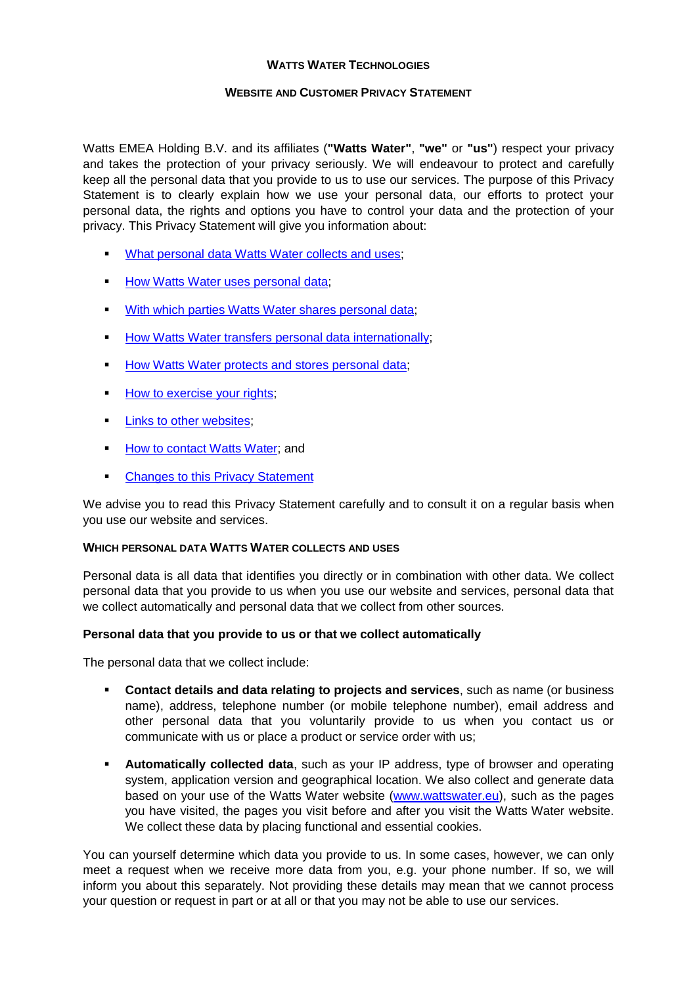### **WATTS WATER TECHNOLOGIES**

# **WEBSITE AND CUSTOMER PRIVACY STATEMENT**

Watts EMEA Holding B.V. and its affiliates (**"Watts Water"**, **"we"** or **"us"**) respect your privacy and takes the protection of your privacy seriously. We will endeavour to protect and carefully keep all the personal data that you provide to us to use our services. The purpose of this Privacy Statement is to clearly explain how we use your personal data, our efforts to protect your personal data, the rights and options you have to control your data and the protection of your privacy. This Privacy Statement will give you information about:

- [What personal data Watts Water](#page-0-0) collects and uses;
- **How Watts Water [uses personal data;](#page-1-0)**
- [With which parties Watts Water](#page-1-1) shares personal data;
- **How Watts Water [transfers personal data internationally;](#page-2-0)**
- How Watts Water [protects and stores personal data;](#page-2-1)
- How to [exercise your rights;](#page-2-2)
- **[Links to other websites;](#page-3-0)**
- **[How to contact Watts Water;](#page-3-1) and**
- **[Changes to this Privacy Statement](#page-3-2)**

We advise you to read this Privacy Statement carefully and to consult it on a regular basis when you use our website and services.

### <span id="page-0-0"></span>**WHICH PERSONAL DATA WATTS WATER COLLECTS AND USES**

Personal data is all data that identifies you directly or in combination with other data. We collect personal data that you provide to us when you use our website and services, personal data that we collect automatically and personal data that we collect from other sources.

# **Personal data that you provide to us or that we collect automatically**

The personal data that we collect include:

- **Contact details and data relating to projects and services**, such as name (or business name), address, telephone number (or mobile telephone number), email address and other personal data that you voluntarily provide to us when you contact us or communicate with us or place a product or service order with us;
- **Automatically collected data**, such as your IP address, type of browser and operating system, application version and geographical location. We also collect and generate data based on your use of the Watts Water website [\(www.wattswater.eu\)](http://www.wattswater.eu/), such as the pages you have visited, the pages you visit before and after you visit the Watts Water website. We collect these data by placing functional and essential cookies.

You can yourself determine which data you provide to us. In some cases, however, we can only meet a request when we receive more data from you, e.g. your phone number. If so, we will inform you about this separately. Not providing these details may mean that we cannot process your question or request in part or at all or that you may not be able to use our services.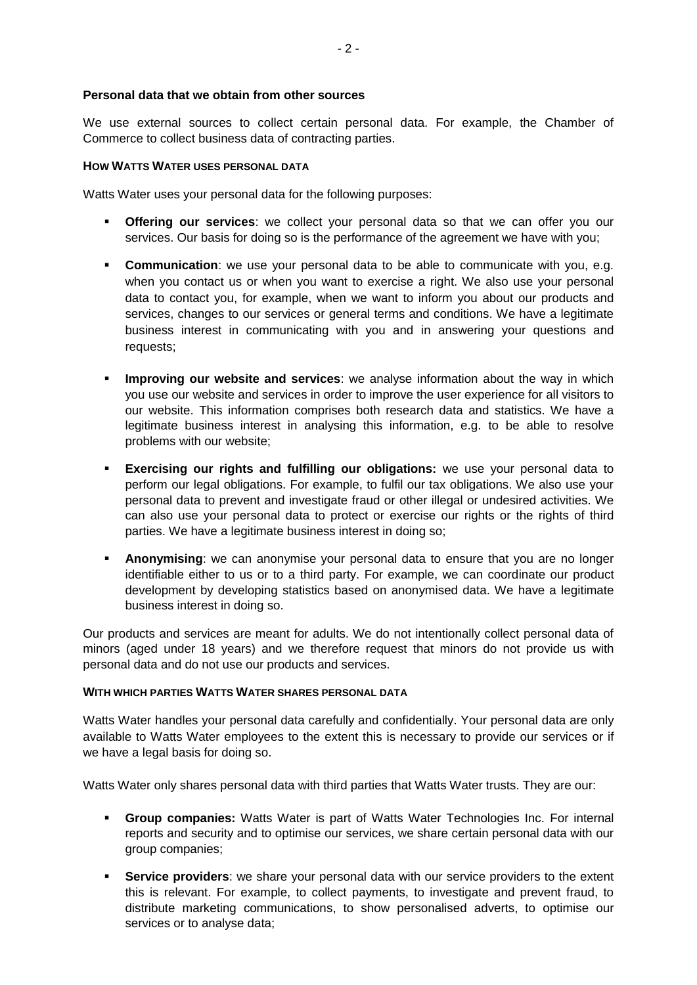#### **Personal data that we obtain from other sources**

We use external sources to collect certain personal data. For example, the Chamber of Commerce to collect business data of contracting parties.

#### <span id="page-1-0"></span>**HOW WATTS WATER USES PERSONAL DATA**

Watts Water uses your personal data for the following purposes:

- **Offering our services**: we collect your personal data so that we can offer you our services. Our basis for doing so is the performance of the agreement we have with you;
- **Communication**: we use your personal data to be able to communicate with you, e.g. when you contact us or when you want to exercise a right. We also use your personal data to contact you, for example, when we want to inform you about our products and services, changes to our services or general terms and conditions. We have a legitimate business interest in communicating with you and in answering your questions and requests;
- **Improving our website and services**: we analyse information about the way in which you use our website and services in order to improve the user experience for all visitors to our website. This information comprises both research data and statistics. We have a legitimate business interest in analysing this information, e.g. to be able to resolve problems with our website;
- **Exercising our rights and fulfilling our obligations:** we use your personal data to perform our legal obligations. For example, to fulfil our tax obligations. We also use your personal data to prevent and investigate fraud or other illegal or undesired activities. We can also use your personal data to protect or exercise our rights or the rights of third parties. We have a legitimate business interest in doing so;
- **Anonymising**: we can anonymise your personal data to ensure that you are no longer identifiable either to us or to a third party. For example, we can coordinate our product development by developing statistics based on anonymised data. We have a legitimate business interest in doing so.

Our products and services are meant for adults. We do not intentionally collect personal data of minors (aged under 18 years) and we therefore request that minors do not provide us with personal data and do not use our products and services.

#### <span id="page-1-1"></span>**WITH WHICH PARTIES WATTS WATER SHARES PERSONAL DATA**

Watts Water handles your personal data carefully and confidentially. Your personal data are only available to Watts Water employees to the extent this is necessary to provide our services or if we have a legal basis for doing so.

Watts Water only shares personal data with third parties that Watts Water trusts. They are our:

- **Group companies:** Watts Water is part of Watts Water Technologies Inc. For internal reports and security and to optimise our services, we share certain personal data with our group companies;
- **Service providers**: we share your personal data with our service providers to the extent this is relevant. For example, to collect payments, to investigate and prevent fraud, to distribute marketing communications, to show personalised adverts, to optimise our services or to analyse data;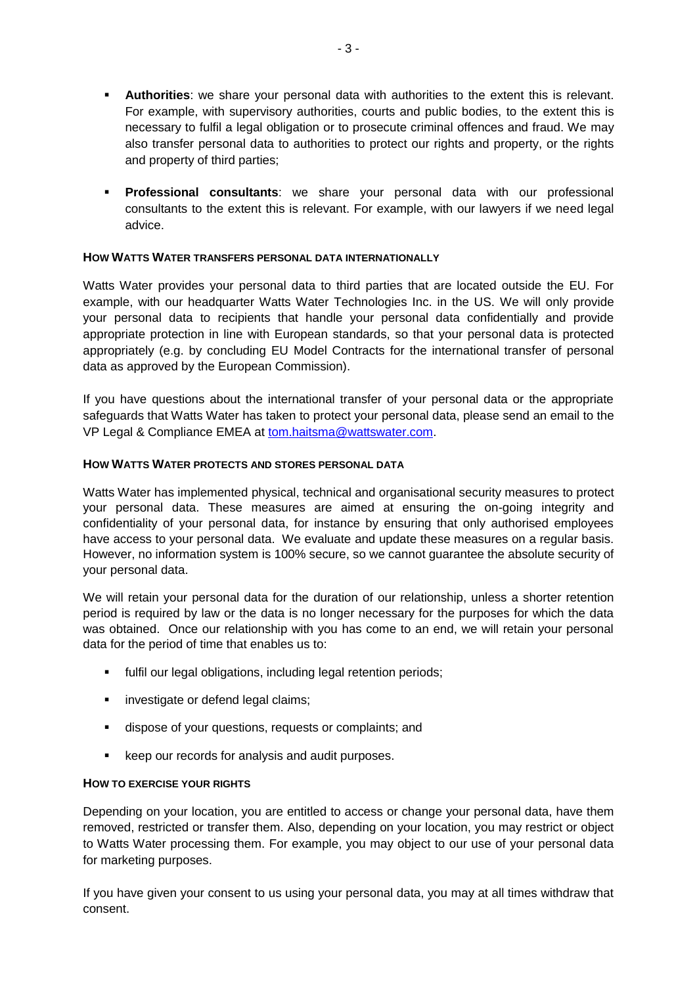- **Authorities**: we share your personal data with authorities to the extent this is relevant. For example, with supervisory authorities, courts and public bodies, to the extent this is necessary to fulfil a legal obligation or to prosecute criminal offences and fraud. We may also transfer personal data to authorities to protect our rights and property, or the rights and property of third parties;
- **Professional consultants**: we share your personal data with our professional consultants to the extent this is relevant. For example, with our lawyers if we need legal advice.

### <span id="page-2-0"></span>**HOW WATTS WATER TRANSFERS PERSONAL DATA INTERNATIONALLY**

Watts Water provides your personal data to third parties that are located outside the EU. For example, with our headquarter Watts Water Technologies Inc. in the US. We will only provide your personal data to recipients that handle your personal data confidentially and provide appropriate protection in line with European standards, so that your personal data is protected appropriately (e.g. by concluding EU Model Contracts for the international transfer of personal data as approved by the European Commission).

If you have questions about the international transfer of your personal data or the appropriate safeguards that Watts Water has taken to protect your personal data, please send an email to the VP Legal & Compliance EMEA at [tom.haitsma@wattswater.com.](mailto:tom.haitsma@wattswater.com)

### <span id="page-2-1"></span>**HOW WATTS WATER PROTECTS AND STORES PERSONAL DATA**

Watts Water has implemented physical, technical and organisational security measures to protect your personal data. These measures are aimed at ensuring the on-going integrity and confidentiality of your personal data, for instance by ensuring that only authorised employees have access to your personal data. We evaluate and update these measures on a regular basis. However, no information system is 100% secure, so we cannot guarantee the absolute security of your personal data.

We will retain your personal data for the duration of our relationship, unless a shorter retention period is required by law or the data is no longer necessary for the purposes for which the data was obtained. Once our relationship with you has come to an end, we will retain your personal data for the period of time that enables us to:

- **fulfil our legal obligations, including legal retention periods;**
- **investigate or defend legal claims;**
- dispose of your questions, requests or complaints; and
- **EXECTE FIGHT EXECTES IS A LOCAL EXECTE FIGHT FIGHT FIGHTS EXECTED EXECTED EXECTED EXECTED EXECTED EXECTED EXECTED EXECTED EXECTED EXECTED EXECTED EXECTED EXECTED EXECTED EXECTED EXECTED E**

### <span id="page-2-2"></span>**HOW TO EXERCISE YOUR RIGHTS**

Depending on your location, you are entitled to access or change your personal data, have them removed, restricted or transfer them. Also, depending on your location, you may restrict or object to Watts Water processing them. For example, you may object to our use of your personal data for marketing purposes.

If you have given your consent to us using your personal data, you may at all times withdraw that consent.